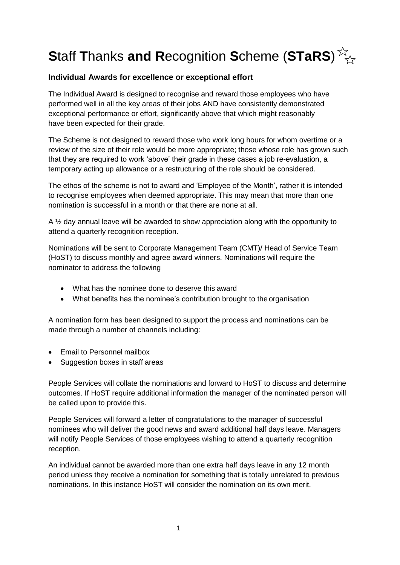### **Individual Awards for excellence or exceptional effort**

The Individual Award is designed to recognise and reward those employees who have performed well in all the key areas of their jobs AND have consistently demonstrated exceptional performance or effort, significantly above that which might reasonably have been expected for their grade.

The Scheme is not designed to reward those who work long hours for whom overtime or a review of the size of their role would be more appropriate; those whose role has grown such that they are required to work 'above' their grade in these cases a job re-evaluation, a temporary acting up allowance or a restructuring of the role should be considered.

The ethos of the scheme is not to award and 'Employee of the Month', rather it is intended to recognise employees when deemed appropriate. This may mean that more than one nomination is successful in a month or that there are none at all.

A <sup>1/2</sup> day annual leave will be awarded to show appreciation along with the opportunity to attend a quarterly recognition reception.

Nominations will be sent to Corporate Management Team (CMT)/ Head of Service Team (HoST) to discuss monthly and agree award winners. Nominations will require the nominator to address the following

- What has the nominee done to deserve this award
- What benefits has the nominee's contribution brought to the organisation

A nomination form has been designed to support the process and nominations can be made through a number of channels including:

- Email to Personnel mailbox
- Suggestion boxes in staff areas

People Services will collate the nominations and forward to HoST to discuss and determine outcomes. If HoST require additional information the manager of the nominated person will be called upon to provide this.

People Services will forward a letter of congratulations to the manager of successful nominees who will deliver the good news and award additional half days leave. Managers will notify People Services of those employees wishing to attend a quarterly recognition reception.

An individual cannot be awarded more than one extra half days leave in any 12 month period unless they receive a nomination for something that is totally unrelated to previous nominations. In this instance HoST will consider the nomination on its own merit.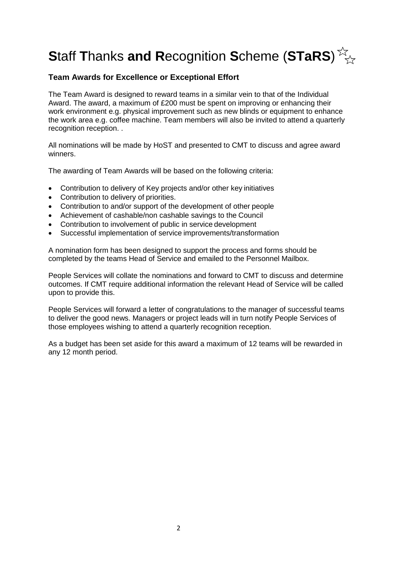#### **Team Awards for Excellence or Exceptional Effort**

The Team Award is designed to reward teams in a similar vein to that of the Individual Award. The award, a maximum of £200 must be spent on improving or enhancing their work environment e.g. physical improvement such as new blinds or equipment to enhance the work area e.g. coffee machine. Team members will also be invited to attend a quarterly recognition reception. .

All nominations will be made by HoST and presented to CMT to discuss and agree award winners.

The awarding of Team Awards will be based on the following criteria:

- Contribution to delivery of Key projects and/or other key initiatives
- Contribution to delivery of priorities.
- Contribution to and/or support of the development of other people
- Achievement of cashable/non cashable savings to the Council
- Contribution to involvement of public in service development
- Successful implementation of service improvements/transformation

A nomination form has been designed to support the process and forms should be completed by the teams Head of Service and emailed to the Personnel Mailbox.

People Services will collate the nominations and forward to CMT to discuss and determine outcomes. If CMT require additional information the relevant Head of Service will be called upon to provide this.

People Services will forward a letter of congratulations to the manager of successful teams to deliver the good news. Managers or project leads will in turn notify People Services of those employees wishing to attend a quarterly recognition reception.

As a budget has been set aside for this award a maximum of 12 teams will be rewarded in any 12 month period.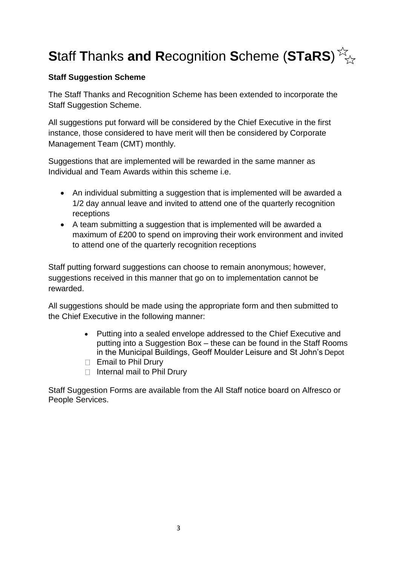## **Staff Suggestion Scheme**

The Staff Thanks and Recognition Scheme has been extended to incorporate the Staff Suggestion Scheme.

All suggestions put forward will be considered by the Chief Executive in the first instance, those considered to have merit will then be considered by Corporate Management Team (CMT) monthly.

Suggestions that are implemented will be rewarded in the same manner as Individual and Team Awards within this scheme i.e.

- An individual submitting a suggestion that is implemented will be awarded a 1/2 day annual leave and invited to attend one of the quarterly recognition receptions
- A team submitting a suggestion that is implemented will be awarded a maximum of £200 to spend on improving their work environment and invited to attend one of the quarterly recognition receptions

Staff putting forward suggestions can choose to remain anonymous; however, suggestions received in this manner that go on to implementation cannot be rewarded.

All suggestions should be made using the appropriate form and then submitted to the Chief Executive in the following manner:

- Putting into a sealed envelope addressed to the Chief Executive and putting into a Suggestion Box – these can be found in the Staff Rooms in the Municipal Buildings, Geoff Moulder Leisure and St John's Depot
- $\Box$  Email to Phil Drury
- $\Box$  Internal mail to Phil Drury

Staff Suggestion Forms are available from the All Staff notice board on Alfresco or People Services.